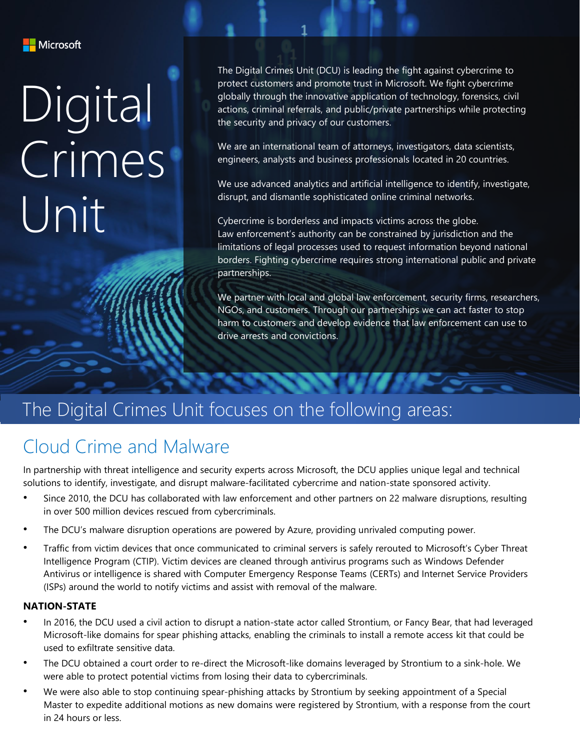

# Digital Crimes Unit

The Digital Crimes Unit (DCU) is leading the fight against cybercrime to protect customers and promote trust in Microsoft. We fight cybercrime globally through the innovative application of technology, forensics, civil actions, criminal referrals, and public/private partnerships while protecting the security and privacy of our customers.

We are an international team of attorneys, investigators, data scientists, engineers, analysts and business professionals located in 20 countries.

We use advanced analytics and artificial intelligence to identify, investigate, disrupt, and dismantle sophisticated online criminal networks.

Cybercrime is borderless and impacts victims across the globe. Law enforcement's authority can be constrained by jurisdiction and the limitations of legal processes used to request information beyond national borders. Fighting cybercrime requires strong international public and private partnerships.

We partner with local and global law enforcement, security firms, researchers, NGOs, and customers. Through our partnerships we can act faster to stop harm to customers and develop evidence that law enforcement can use to drive arrests and convictions.

#### The Digital Crimes Unit focuses on the following areas:

### Cloud Crime and Malware

In partnership with threat intelligence and security experts across Microsoft, the DCU applies unique legal and technical solutions to identify, investigate, and disrupt malware-facilitated cybercrime and nation-state sponsored activity.

- Since 2010, the DCU has collaborated with law enforcement and other partners on 22 malware disruptions, resulting in over 500 million devices rescued from cybercriminals.
- The DCU's malware disruption operations are powered by Azure, providing unrivaled computing power.
- Traffic from victim devices that once communicated to criminal servers is safely rerouted to Microsoft's Cyber Threat Intelligence Program (CTIP). Victim devices are cleaned through antivirus programs such as Windows Defender Antivirus or intelligence is shared with Computer Emergency Response Teams (CERTs) and Internet Service Providers (ISPs) around the world to notify victims and assist with removal of the malware.

#### **NATION-STATE**

- In 2016, the DCU used a civil action to disrupt a nation-state actor called Strontium, or Fancy Bear, that had leveraged Microsoft-like domains for spear phishing attacks, enabling the criminals to install a remote access kit that could be used to exfiltrate sensitive data.
- The DCU obtained a court order to re-direct the Microsoft-like domains leveraged by Strontium to a sink-hole. We were able to protect potential victims from losing their data to cybercriminals.
- We were also able to stop continuing spear-phishing attacks by Strontium by seeking appointment of a Special Master to expedite additional motions as new domains were registered by Strontium, with a response from the court in 24 hours or less.